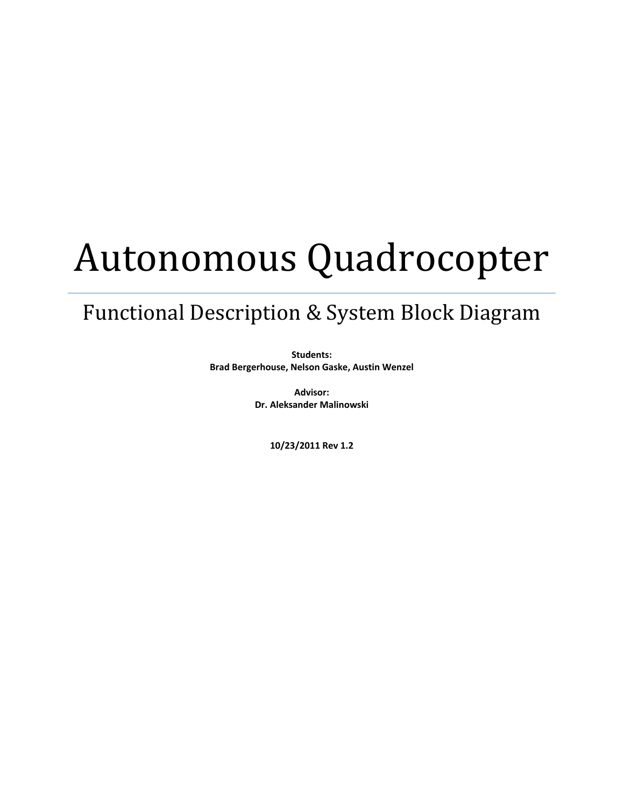# Autonomous Quadrocopter

## Functional Description & System Block Diagram

**Students: Brad Bergerhouse, Nelson Gaske, Austin Wenzel**

> **Advisor: Dr. Aleksander Malinowski**

> > **10/23/2011 Rev 1.2**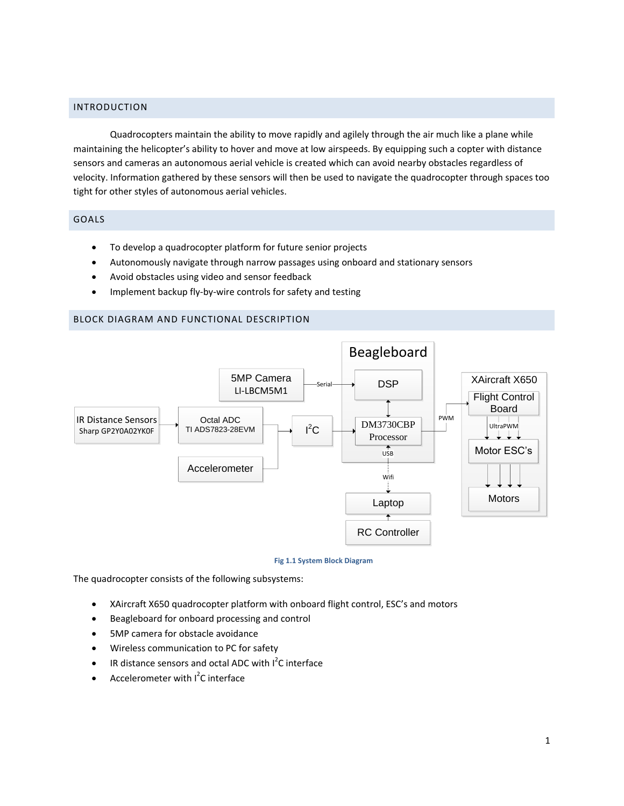### INTRODUCTION

Quadrocopters maintain the ability to move rapidly and agilely through the air much like a plane while maintaining the helicopter's ability to hover and move at low airspeeds. By equipping such a copter with distance sensors and cameras an autonomous aerial vehicle is created which can avoid nearby obstacles regardless of velocity. Information gathered by these sensors will then be used to navigate the quadrocopter through spaces too tight for other styles of autonomous aerial vehicles.

#### GOALS

- To develop a quadrocopter platform for future senior projects
- Autonomously navigate through narrow passages using onboard and stationary sensors
- Avoid obstacles using video and sensor feedback
- Implement backup fly-by-wire controls for safety and testing

#### BLOCK DIAGRAM AND FUNCTIONAL DESCRIPTION



#### **Fig 1.1 System Block Diagram**

The quadrocopter consists of the following subsystems:

- XAircraft X650 quadrocopter platform with onboard flight control, ESC's and motors
- **•** Beagleboard for onboard processing and control
- 5MP camera for obstacle avoidance
- Wireless communication to PC for safety
- $\bullet$  IR distance sensors and octal ADC with  $I^2C$  interface
- Accelerometer with  $I^2C$  interface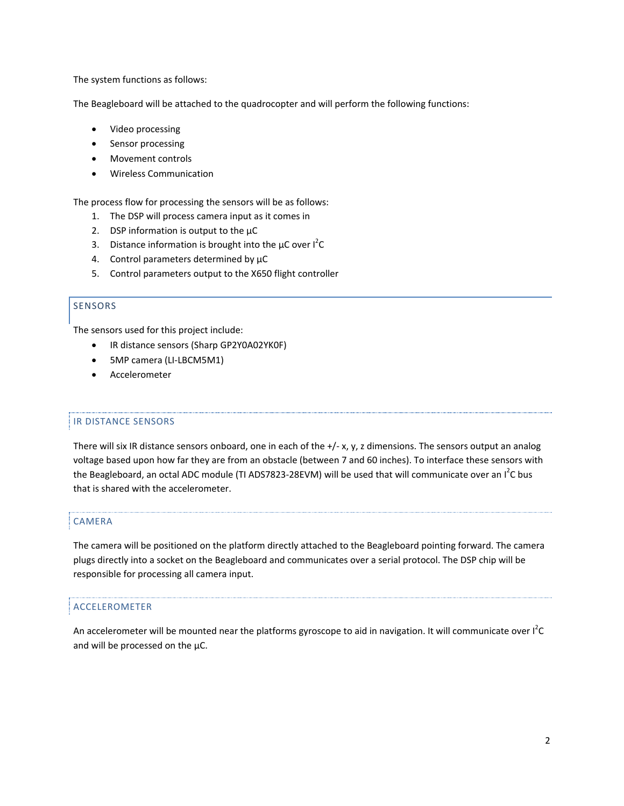The system functions as follows:

The Beagleboard will be attached to the quadrocopter and will perform the following functions:

- Video processing
- Sensor processing
- Movement controls
- Wireless Communication

The process flow for processing the sensors will be as follows:

- 1. The DSP will process camera input as it comes in
- 2. DSP information is output to the  $\mu$ C
- 3. Distance information is brought into the  $\mu$ C over  $I^2C$
- 4. Control parameters determined by  $\mu$ C
- 5. Control parameters output to the X650 flight controller

#### SENSORS

The sensors used for this project include:

- IR distance sensors (Sharp GP2Y0A02YK0F)
- 5MP camera (LI-LBCM5M1)
- Accelerometer

#### IR DISTANCE SENSORS

There will six IR distance sensors onboard, one in each of the +/- x, y, z dimensions. The sensors output an analog voltage based upon how far they are from an obstacle (between 7 and 60 inches). To interface these sensors with the Beagleboard, an octal ADC module (TI ADS7823-28EVM) will be used that will communicate over an I<sup>2</sup>C bus that is shared with the accelerometer.

#### CAMERA

The camera will be positioned on the platform directly attached to the Beagleboard pointing forward. The camera plugs directly into a socket on the Beagleboard and communicates over a serial protocol. The DSP chip will be responsible for processing all camera input.

#### ACCELEROMETER

An accelerometer will be mounted near the platforms gyroscope to aid in navigation. It will communicate over l<sup>2</sup>C and will be processed on the  $\mu$ C.